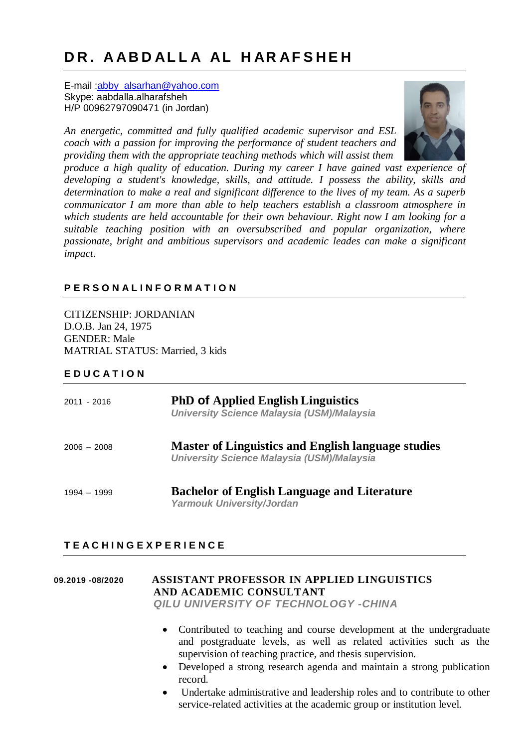# **D R . A AB D AL L A AL H AR AF S H E H**

E-mail [:abby\\_alsarhan@yahoo.com](mailto:abby_alsarhan@yahoo.com) Skype: aabdalla.alharafsheh H/P 00962797090471 (in Jordan)

*An energetic, committed and fully qualified academic supervisor and ESL coach with a passion for improving the performance of student teachers and providing them with the appropriate teaching methods which will assist them*



*produce a high quality of education. During my career I have gained vast experience of developing a student's knowledge, skills, and attitude. I possess the ability, skills and determination to make a real and significant difference to the lives of my team. As a superb communicator I am more than able to help teachers establish a classroom atmosphere in which students are held accountable for their own behaviour. Right now I am looking for a suitable teaching position with an oversubscribed and popular organization, where passionate, bright and ambitious supervisors and academic leades can make a significant impact*.

## **P E R S O N A L I N F O R M A T I O N**

CITIZENSHIP: JORDANIAN D.O.B. Jan 24, 1975 GENDER: Male MATRIAL STATUS: Married, 3 kids

#### **E D U C A T I O N**

| $2011 - 2016$ | <b>PhD of Applied English Linguistics</b><br><b>University Science Malaysia (USM)/Malaysia</b>                 |
|---------------|----------------------------------------------------------------------------------------------------------------|
| $2006 - 2008$ | <b>Master of Linguistics and English language studies</b><br><b>University Science Malaysia (USM)/Malaysia</b> |
| $1994 - 1999$ | <b>Bachelor of English Language and Literature</b><br><b>Yarmouk University/Jordan</b>                         |

## **T E A C H I N G E X P E R I E N C E**

## **09.2019 -08/2020 ASSISTANT PROFESSOR IN APPLIED LINGUISTICS AND ACADEMIC CONSULTANT**

*QILU UNIVERSITY OF TECHNOLOGY -CHINA*

- Contributed to teaching and course development at the undergraduate and postgraduate levels, as well as related activities such as the supervision of teaching practice, and thesis supervision.
- Developed a strong research agenda and maintain a strong publication record.
- Undertake administrative and leadership roles and to contribute to other service-related activities at the academic group or institution level.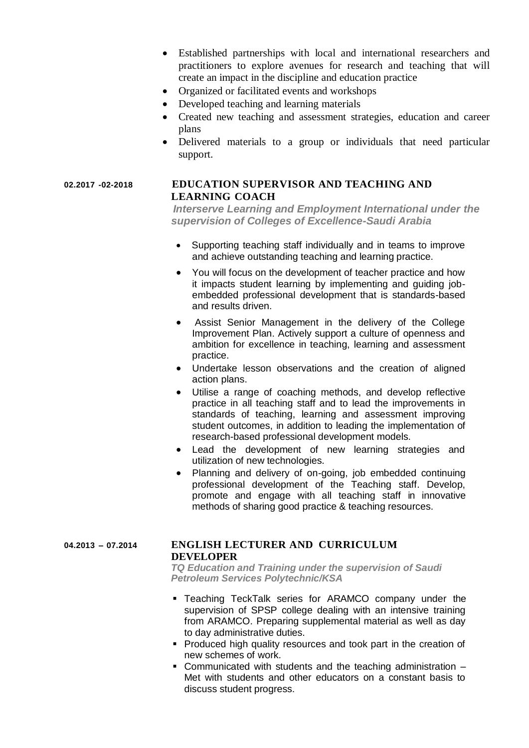- Established partnerships with local and international researchers and practitioners to explore avenues for research and teaching that will create an impact in the discipline and education practice
- Organized or facilitated events and workshops
- Developed teaching and learning materials
- Created new teaching and assessment strategies, education and career plans
- Delivered materials to a group or individuals that need particular support.

#### **02.2017 -02-2018 EDUCATION SUPERVISOR AND TEACHING AND LEARNING COACH**

*Interserve Learning and Employment International under the supervision of Colleges of Excellence-Saudi Arabia*

- Supporting teaching staff individually and in teams to improve and achieve outstanding teaching and learning practice.
- You will focus on the development of teacher practice and how it impacts student learning by implementing and guiding jobembedded professional development that is standards-based and results driven.
- Assist Senior Management in the delivery of the College Improvement Plan. Actively support a culture of openness and ambition for excellence in teaching, learning and assessment practice.
- Undertake lesson observations and the creation of aligned action plans.
- Utilise a range of coaching methods, and develop reflective practice in all teaching staff and to lead the improvements in standards of teaching, learning and assessment improving student outcomes, in addition to leading the implementation of research-based professional development models.
- Lead the development of new learning strategies and utilization of new technologies.
- Planning and delivery of on-going, job embedded continuing professional development of the Teaching staff. Develop, promote and engage with all teaching staff in innovative methods of sharing good practice & teaching resources.

#### **04.2013 – 07.2014 ENGLISH LECTURER AND CURRICULUM DEVELOPER**

*TQ Education and Training under the supervision of Saudi Petroleum Services Polytechnic/KSA*

- Teaching TeckTalk series for ARAMCO company under the supervision of SPSP college dealing with an intensive training from ARAMCO. Preparing supplemental material as well as day to day administrative duties.
- **Produced high quality resources and took part in the creation of** new schemes of work.
- Communicated with students and the teaching administration Met with students and other educators on a constant basis to discuss student progress.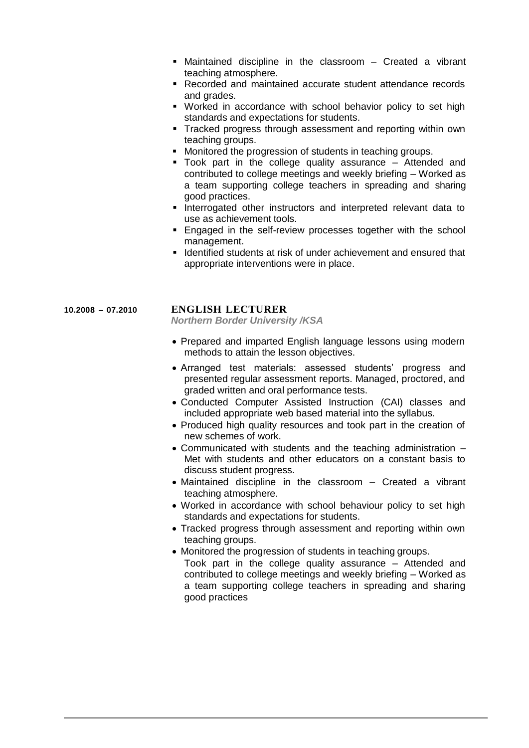- Maintained discipline in the classroom Created a vibrant teaching atmosphere.
- Recorded and maintained accurate student attendance records and grades.
- Worked in accordance with school behavior policy to set high standards and expectations for students.
- **Tracked progress through assessment and reporting within own** teaching groups.
- **Monitored the progression of students in teaching groups.**
- Took part in the college quality assurance Attended and contributed to college meetings and weekly briefing – Worked as a team supporting college teachers in spreading and sharing good practices.
- **Interrogated other instructors and interpreted relevant data to** use as achievement tools.
- **Engaged in the self-review processes together with the school** management.
- **If Identified students at risk of under achievement and ensured that** appropriate interventions were in place.

#### **10.2008 – 07.2010 ENGLISH LECTURER**

*Northern Border University /KSA*

- Prepared and imparted English language lessons using modern methods to attain the lesson objectives.
- Arranged test materials: assessed students' progress and presented regular assessment reports. Managed, proctored, and graded written and oral performance tests.
- Conducted Computer Assisted Instruction (CAI) classes and included appropriate web based material into the syllabus.
- Produced high quality resources and took part in the creation of new schemes of work.
- Communicated with students and the teaching administration Met with students and other educators on a constant basis to discuss student progress.
- Maintained discipline in the classroom Created a vibrant teaching atmosphere.
- Worked in accordance with school behaviour policy to set high standards and expectations for students.
- Tracked progress through assessment and reporting within own teaching groups.
- Monitored the progression of students in teaching groups. Took part in the college quality assurance – Attended and contributed to college meetings and weekly briefing – Worked as a team supporting college teachers in spreading and sharing good practices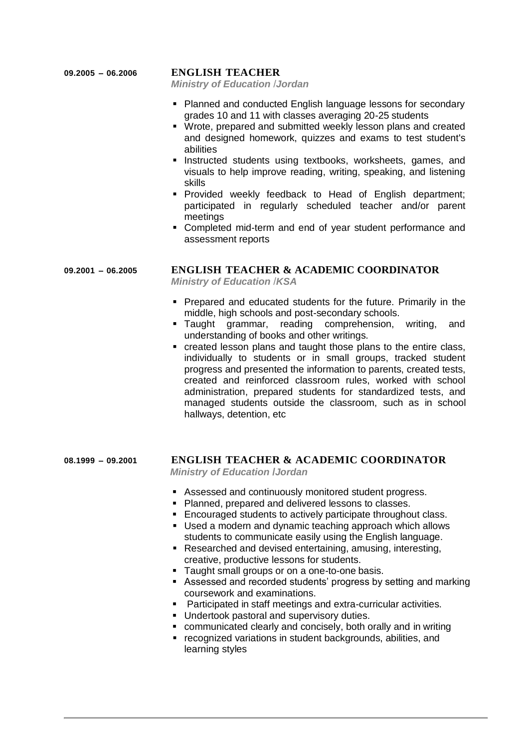#### **09.2005 – 06.2006 ENGLISH TEACHER**

*Ministry of Education* /*Jordan*

- **Planned and conducted English language lessons for secondary** grades 10 and 11 with classes averaging 20-25 students
- Wrote, prepared and submitted weekly lesson plans and created and designed homework, quizzes and exams to test student's abilities
- **Instructed students using textbooks, worksheets, games, and** visuals to help improve reading, writing, speaking, and listening skills
- **Provided weekly feedback to Head of English department;** participated in regularly scheduled teacher and/or parent meetings
- Completed mid-term and end of year student performance and assessment reports

## **09.2001 – 06.2005 ENGLISH TEACHER & ACADEMIC COORDINATOR**

*Ministry of Education* /*KSA*

- **Prepared and educated students for the future. Primarily in the** middle, high schools and post-secondary schools.
- Taught grammar, reading comprehension, writing, and understanding of books and other writings.
- created lesson plans and taught those plans to the entire class, individually to students or in small groups, tracked student progress and presented the information to parents, created tests, created and reinforced classroom rules, worked with school administration, prepared students for standardized tests, and managed students outside the classroom, such as in school hallways, detention, etc

## **08.1999 – 09.2001 ENGLISH TEACHER & ACADEMIC COORDINATOR**

 *Ministry of Education* **/***Jordan*

- Assessed and continuously monitored student progress.
- Planned, prepared and delivered lessons to classes.
- **Encouraged students to actively participate throughout class.**
- Used a modern and dynamic teaching approach which allows students to communicate easily using the English language.
- Researched and devised entertaining, amusing, interesting, creative, productive lessons for students.
- Taught small groups or on a one-to-one basis.
- Assessed and recorded students' progress by setting and marking coursework and examinations.
- Participated in staff meetings and extra-curricular activities.
- **Undertook pastoral and supervisory duties.**
- communicated clearly and concisely, both orally and in writing
- **F** recognized variations in student backgrounds, abilities, and learning styles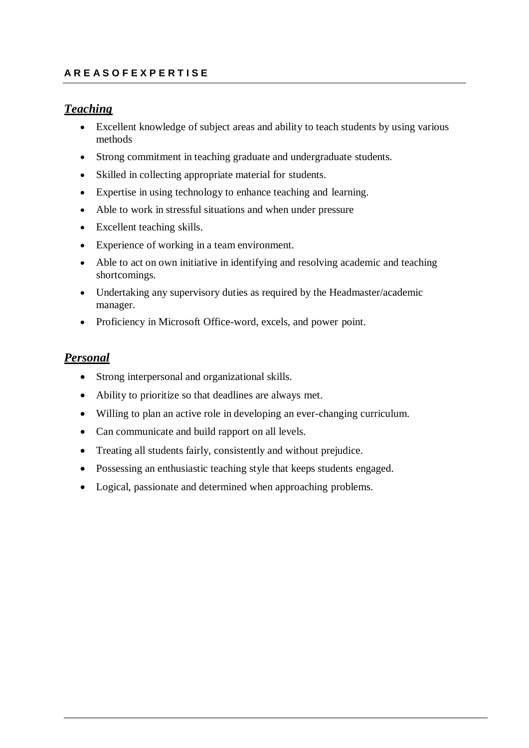## **A R E A S O F E X P E R T I S E**

## *Teaching*

- Excellent knowledge of subject areas and ability to teach students by using various methods
- Strong commitment in teaching graduate and undergraduate students.
- Skilled in collecting appropriate material for students.
- Expertise in using technology to enhance teaching and learning.
- Able to work in stressful situations and when under pressure
- Excellent teaching skills.
- Experience of working in a team environment.
- Able to act on own initiative in identifying and resolving academic and teaching shortcomings.
- Undertaking any supervisory duties as required by the Headmaster/academic manager.
- Proficiency in Microsoft Office-word, excels, and power point.

## *Personal*

- Strong interpersonal and organizational skills.
- Ability to prioritize so that deadlines are always met.
- Willing to plan an active role in developing an ever-changing curriculum.
- Can communicate and build rapport on all levels.
- Treating all students fairly, consistently and without prejudice.
- Possessing an enthusiastic teaching style that keeps students engaged.
- Logical, passionate and determined when approaching problems.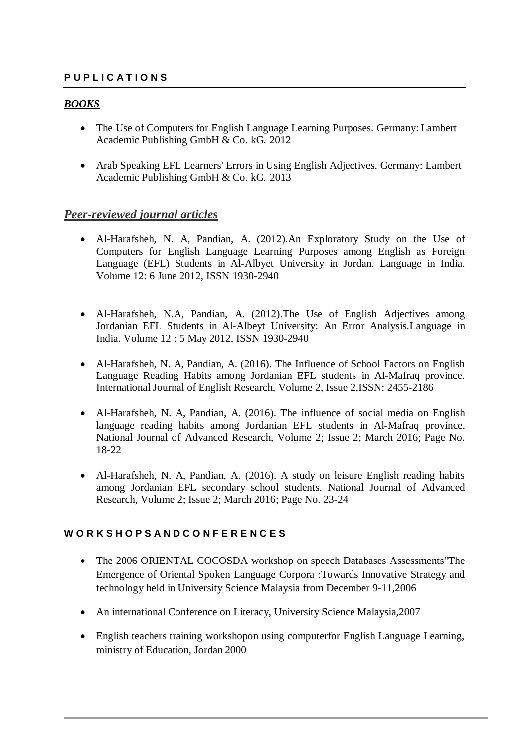## **P U P L I C A T I O N S**

## *BOOKS*

- The Use of Computers for English Language Learning Purposes. Germany: Lambert Academic Publishing GmbH & Co. kG. 2012
- Arab Speaking EFL Learners' Errors in Using English Adjectives. Germany: Lambert Academic Publishing GmbH & Co. kG. 2013

## *Peer-reviewed journal articles*

- Al-Harafsheh, N. A, Pandian, A. (2012).An Exploratory Study on the Use of Computers for English Language Learning Purposes among English as Foreign Language (EFL) Students in Al-Albyet University in Jordan. Language in India. Volume 12: 6 June 2012, ISSN 1930-2940
- Al-Harafsheh, N.A, Pandian, A. (2012).The Use of English Adjectives among Jordanian EFL Students in Al-Albeyt University: An Error Analysis.Language in India. Volume 12 : 5 May 2012, ISSN 1930-2940
- Al-Harafsheh, N. A, Pandian, A. (2016). The Influence of School Factors on English Language Reading Habits among Jordanian EFL students in Al-Mafraq province. International Journal of English Research, Volume 2, Issue 2,ISSN: 2455-2186
- Al-Harafsheh, N. A, Pandian, A. (2016). The influence of social media on English language reading habits among Jordanian EFL students in Al-Mafraq province. National Journal of Advanced Research, Volume 2; Issue 2; March 2016; Page No. 18-22
- Al-Harafsheh, N. A, Pandian, A. (2016). A study on leisure English reading habits among Jordanian EFL secondary school students. National Journal of Advanced Research, Volume 2; Issue 2; March 2016; Page No. 23-24

#### **W O R K S H O P S A N D C O N F E R E N C E S**

- The 2006 ORIENTAL COCOSDA workshop on speech Databases Assessments"The Emergence of Oriental Spoken Language Corpora :Towards Innovative Strategy and technology held in University Science Malaysia from December 9-11,2006
- An international Conference on Literacy, University Science Malaysia,2007
- English teachers training workshopon using computerfor English Language Learning, ministry of Education, Jordan 2000